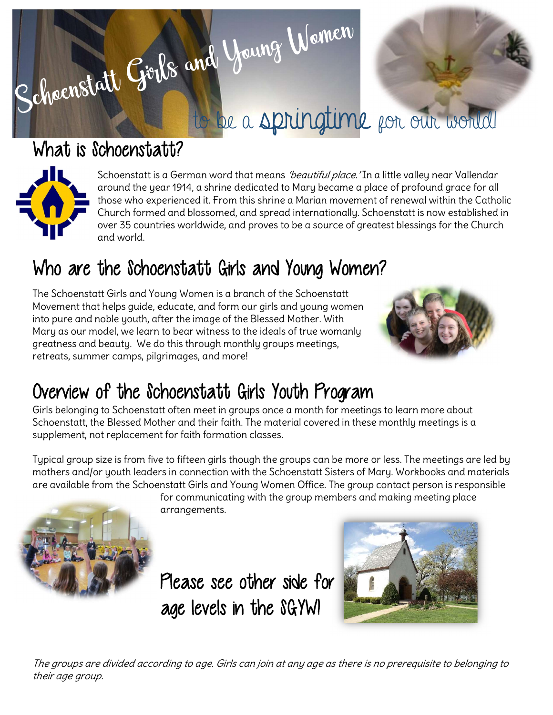# Schoenstatt Girls and Young Women to be a springtime for our world

## What is Schoenstatt?



Schoenstatt is a German word that means *'beautiful place.'* In a little valley near Vallendar around the year 1914, a shrine dedicated to Mary became a place of profound grace for all those who experienced it. From this shrine a Marian movement of renewal within the Catholic Church formed and blossomed, and spread internationally. Schoenstatt is now established in over 35 countries worldwide, and proves to be a source of greatest blessings for the Church and world.

## Who are the Schoenstatt Girls and Young Women?

The Schoenstatt Girls and Young Women is a branch of the Schoenstatt Movement that helps guide, educate, and form our girls and young women into pure and noble youth, after the image of the Blessed Mother. With Mary as our model, we learn to bear witness to the ideals of true womanly greatness and beauty. We do this through monthly groups meetings, retreats, summer camps, pilgrimages, and more!



## Overview of the Schoenstatt Girls Youth Program

Girls belonging to Schoenstatt often meet in groups once a month for meetings to learn more about Schoenstatt, the Blessed Mother and their faith. The material covered in these monthly meetings is a supplement, not replacement for faith formation classes.

Typical group size is from five to fifteen girls though the groups can be more or less. The meetings are led by mothers and/or youth leaders in connection with the Schoenstatt Sisters of Mary. Workbooks and materials are available from the Schoenstatt Girls and Young Women Office. The group contact person is responsible

for communicating with the group members and making meeting place arrangements.



Please see other side for age levels in the SGYW!



The groups are divided according to age. Girls can join at any age as there is no prerequisite to belonging to their age group.